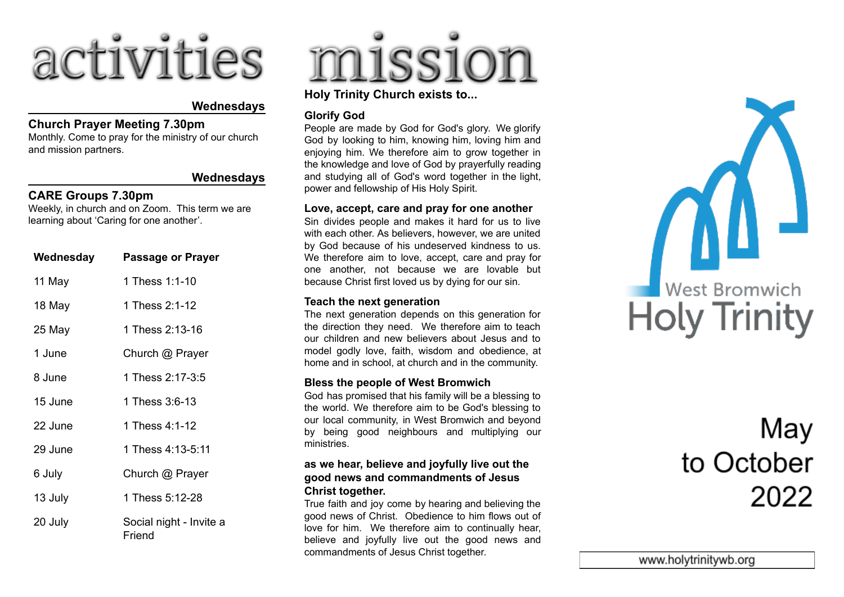

#### **Wednesdays**

#### **Church Prayer Meeting 7.30pm**

Monthly. Come to pray for the ministry of our church and mission partners.

#### **Wednesdays**

#### **CARE Groups 7.30pm**

Weekly, in church and on Zoom. This term we are learning about 'Caring for one another'.

| Wednesday | <b>Passage or Prayer</b>          |
|-----------|-----------------------------------|
| 11 May    | 1 Thess 1:1-10                    |
| 18 May    | 1 Thess 2:1-12                    |
| 25 May    | 1 Thess 2:13-16                   |
| 1 June    | Church @ Prayer                   |
| 8 June    | 1 Thess 2:17-3:5                  |
| 15 June   | 1 Thess 3:6-13                    |
| 22 June   | 1 Thess 4:1-12                    |
| 29 June   | 1 Thess 4:13-5:11                 |
| 6 July    | Church @ Prayer                   |
| 13 July   | 1 Thess 5:12-28                   |
| 20 July   | Social night - Invite a<br>Friend |

# missio

#### **Holy Trinity Church exists to...**

#### **Glorify God**

People are made by God for God's glory. We glorify God by looking to him, knowing him, loving him and enjoying him. We therefore aim to grow together in the knowledge and love of God by prayerfully reading and studying all of God's word together in the light, power and fellowship of His Holy Spirit.

#### **Love, accept, care and pray for one another**

Sin divides people and makes it hard for us to live with each other. As believers, however, we are united by God because of his undeserved kindness to us. We therefore aim to love, accept, care and pray for one another, not because we are lovable but because Christ first loved us by dying for our sin.

#### **Teach the next generation**

The next generation depends on this generation for the direction they need. We therefore aim to teach our children and new believers about Jesus and to model godly love, faith, wisdom and obedience, at home and in school, at church and in the community.

#### **Bless the people of West Bromwich**

God has promised that his family will be a blessing to the world. We therefore aim to be God's blessing to our local community, in West Bromwich and beyond by being good neighbours and multiplying our ministries.

#### **as we hear, believe and joyfully live out the good news and commandments of Jesus Christ together.**

True faith and joy come by hearing and believing the good news of Christ. Obedience to him flows out of love for him. We therefore aim to continually hear, believe and joyfully live out the good news and commandments of Jesus Christ together.



### May to October 2022

www.holytrinitywb.org